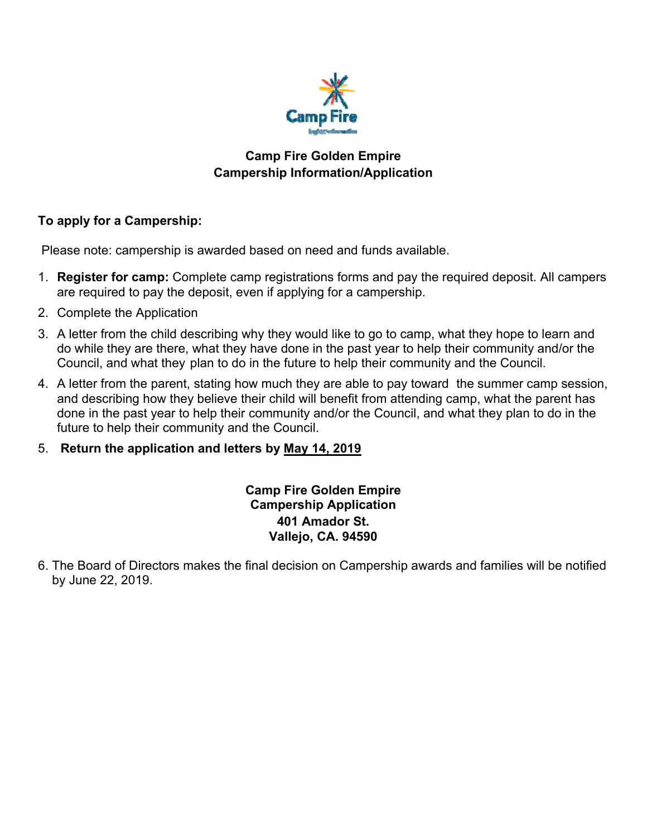

## **Camp Fire Golden Empire Campership Information/Application**

## **To apply for a Campership:**

Please note: campership is awarded based on need and funds available.

- 1. **Register for camp:** Complete camp registrations forms and pay the required deposit. All campers are required to pay the deposit, even if applying for a campership.
- 2. Complete the Application
- 3. A letter from the child describing why they would like to go to camp, what they hope to learn and do while they are there, what they have done in the past year to help their community and/or the Council, and what they plan to do in the future to help their community and the Council.
- 4. A letter from the parent, stating how much they are able to pay toward the summer camp session, and describing how they believe their child will benefit from attending camp, what the parent has done in the past year to help their community and/or the Council, and what they plan to do in the future to help their community and the Council.
- 5. **Return the application and letters by May 14, 2019**

**Camp Fire Golden Empire Campership Application 401 Amador St. Vallejo, CA. 94590** 

6. The Board of Directors makes the final decision on Campership awards and families will be notified by June 22, 2019.